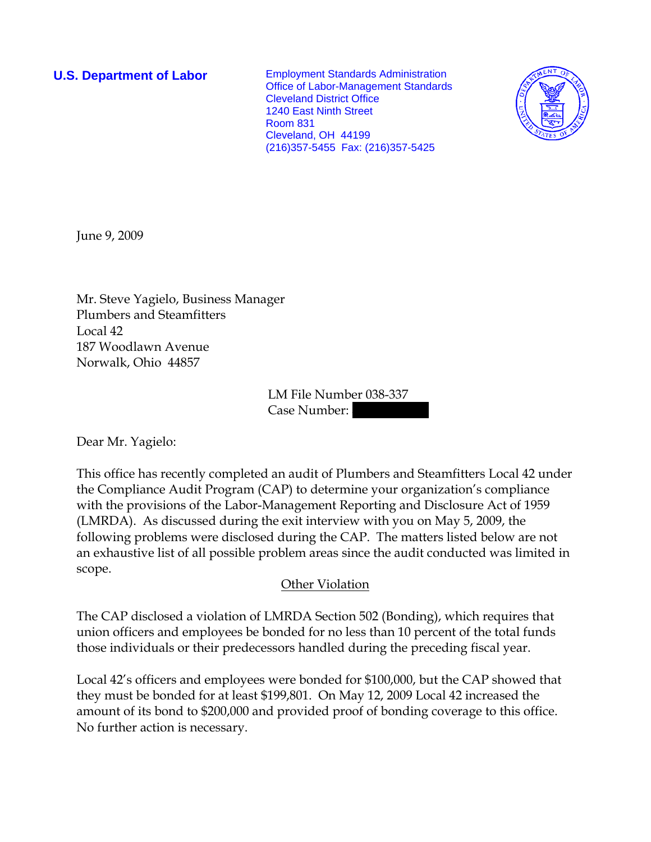**U.S. Department of Labor Employment Standards Administration** Office of Labor-Management Standards Cleveland District Office 1240 East Ninth Street Room 831 Cleveland, OH 44199 (216)357-5455 Fax: (216)357-5425



June 9, 2009

Mr. Steve Yagielo, Business Manager Plumbers and Steamfitters Local 42 187 Woodlawn Avenue Norwalk, Ohio 44857

> LM File Number 038-337 Case Number:

Dear Mr. Yagielo:

This office has recently completed an audit of Plumbers and Steamfitters Local 42 under the Compliance Audit Program (CAP) to determine your organization's compliance with the provisions of the Labor-Management Reporting and Disclosure Act of 1959 (LMRDA). As discussed during the exit interview with you on May 5, 2009, the following problems were disclosed during the CAP. The matters listed below are not an exhaustive list of all possible problem areas since the audit conducted was limited in scope.

## Other Violation

The CAP disclosed a violation of LMRDA Section 502 (Bonding), which requires that union officers and employees be bonded for no less than 10 percent of the total funds those individuals or their predecessors handled during the preceding fiscal year.

Local 42's officers and employees were bonded for \$100,000, but the CAP showed that they must be bonded for at least \$199,801. On May 12, 2009 Local 42 increased the amount of its bond to \$200,000 and provided proof of bonding coverage to this office. No further action is necessary.